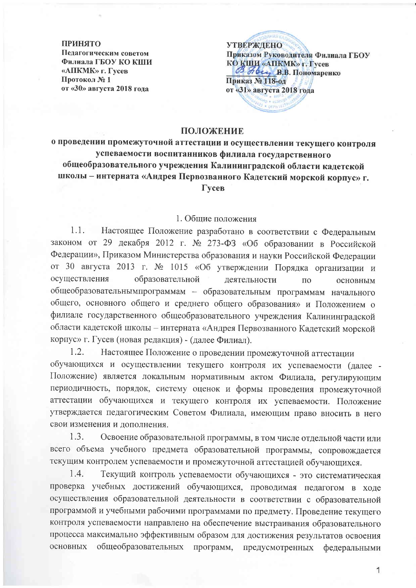#### **ПРИНЯТО**

Педагогическим советом Филиала ГБОУ КО КШИ «АПКМК» г. Гусев Протокол №1 от «30» августа 2018 года

**УТВЕРЖЛЕНО** Приказом Руководителя Филиала ГБОУ КО КШИ «АПКМК» г. Гусев В. Ногу В.В. Пономаренко Приказ № 118-ол от «31» августа 2018 года

## ПОЛОЖЕНИЕ

о проведении промежуточной аттестации и осуществлении текущего контроля успеваемости воспитанников филиала государственного общеобразовательного учреждения Калининградской области кадетской школы - интерната «Андрея Первозванного Кадетский морской корпус» г. Гусев

# 1. Общие положения

 $1.1.$ Настоящее Положение разработано в соответствии с Федеральным законом от 29 декабря 2012 г. № 273-ФЗ «Об образовании в Российской Федерации», Приказом Министерства образования и науки Российской Федерации от 30 августа 2013 г. № 1015 «Об утверждении Порядка организации и осуществления образовательной деятельности  $\overline{10}$ ОСНОВНЫМ общеобразовательнымпрограммам - образовательным программам начального общего, основного общего и среднего общего образования» и Положением о филиале государственного общеобразовательного учреждения Калининградской области кадетской школы - интерната «Андрея Первозванного Кадетский морской корпус» г. Гусев (новая редакция) - (далее Филиал).

 $1.2.$ Настоящее Положение о проведении промежуточной аттестации обучающихся и осуществлении текущего контроля их успеваемости (далее -Положение) является локальным нормативным актом Филиала, регулирующим периодичность, порядок, систему оценок и формы проведения промежуточной аттестации обучающихся и текущего контроля их успеваемости. Положение утверждается педагогическим Советом Филиала, имеющим право вносить в него свои изменения и дополнения.

 $1.3.$ Освоение образовательной программы, в том числе отдельной части или всего объема учебного предмета образовательной программы, сопровождается текущим контролем успеваемости и промежуточной аттестацией обучающихся.

 $1.4.$ Текущий контроль успеваемости обучающихся - это систематическая проверка учебных достижений обучающихся, проводимая педагогом в ходе осуществления образовательной деятельности в соответствии с образовательной программой и учебными рабочими программами по предмету. Проведение текущего контроля успеваемости направлено на обеспечение выстраивания образовательного процесса максимально эффективным образом для достижения результатов освоения основных общеобразовательных программ, предусмотренных федеральными

1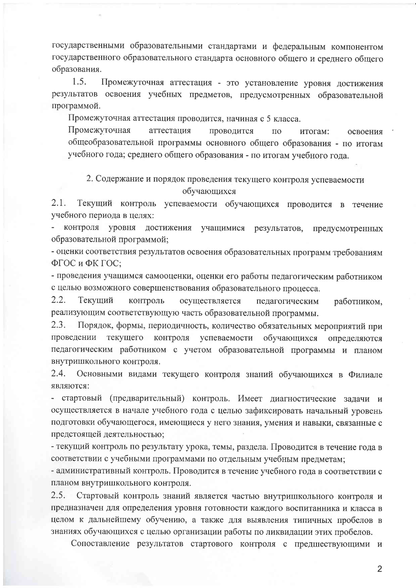государственными образовательными стандартами и федеральным компонентом государственного образовательного стандарта основного общего и среднего общего образования.

 $1.5.$ Промежуточная аттестация - это установление уровня достижения результатов освоения учебных предметов, предусмотренных образовательной программой.

Промежуточная аттестация проводится, начиная с 5 класса.

Промежуточная аттестация проводится  $\Pi$ <sup>O</sup> итогам: освоения общеобразовательной программы основного общего образования - по итогам учебного года; среднего общего образования - по итогам учебного года.

# 2. Содержание и порядок проведения текущего контроля успеваемости обучающихся

 $2.1.$ Текущий контроль успеваемости обучающихся проводится в течение учебного периода в целях:

контроля уровня достижения учащимися результатов, предусмотренных образовательной программой;

- оценки соответствия результатов освоения образовательных программ требованиям ФГОС и ФК ГОС;

- проведения учащимся самооценки, оценки его работы педагогическим работником с целью возможного совершенствования образовательного процесса.

 $2.2.$ Текущий контроль осуществляется педагогическим работником, реализующим соответствующую часть образовательной программы.

 $2.3.$ Порядок, формы, периодичность, количество обязательных мероприятий при проведении текущего контроля успеваемости обучающихся определяются педагогическим работником с учетом образовательной программы и планом внутришкольного контроля.

 $2.4.$ Основными видами текущего контроля знаний обучающихся в Филиале являются:

- стартовый (предварительный) контроль. Имеет диагностические задачи и осуществляется в начале учебного года с целью зафиксировать начальный уровень подготовки обучающегося, имеющиеся у него знания, умения и навыки, связанные с предстоящей деятельностью;

- текущий контроль по результату урока, темы, раздела. Проводится в течение года в соответствии с учебными программами по отдельным учебным предметам;

- административный контроль. Проводится в течение учебного года в соответствии с планом внутришкольного контроля.

 $2.5.$ Стартовый контроль знаний является частью внутришкольного контроля и предназначен для определения уровня готовности каждого воспитанника и класса в целом к дальнейшему обучению, а также для выявления типичных пробелов в знаниях обучающихся с целью организации работы по ликвидации этих пробелов.

Сопоставление результатов стартового контроля с предшествующими и

 $\overline{2}$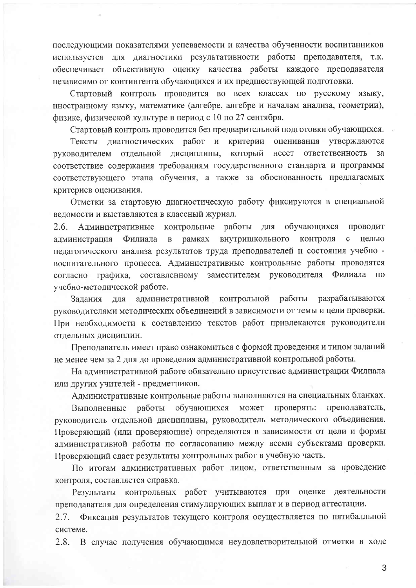последующими показателями успеваемости и качества обученности воспитанников используется для диагностики результативности работы преподавателя, т.к. обеспечивает объективную оценку качества работы каждого преподавателя независимо от контингента обучающихся и их предшествующей подготовки.

Стартовый контроль проводится во всех классах по русскому языку, иностранному языку, математике (алгебре, алгебре и началам анализа, геометрии), физике, физической культуре в период с 10 по 27 сентября.

Стартовый контроль проводится без предварительной подготовки обучающихся.

Тексты диагностических работ и критерии оценивания утверждаются руководителем отдельной дисциплины, который несет ответственность  $3a$ соответствие содержания требованиям государственного стандарта и программы соответствующего этапа обучения, а также за обоснованность предлагаемых критериев оценивания.

Отметки за стартовую диагностическую работу фиксируются в специальной ведомости и выставляются в классный журнал.

2.6. Административные контрольные работы ДЛЯ обучающихся проводит внутришкольного  $\mathbf c$ администрация Филиала  $\, {\bf B}$ рамках контроля целью педагогического анализа результатов труда преподавателей и состояния учебно воспитательного процесса. Административные контрольные работы проводятся согласно графика, составленному заместителем руководителя Филиала  $\Pi$ <sup>O</sup> учебно-методической работе.

административной контрольной работы разрабатываются Задания ДЛЯ руководителями методических объединений в зависимости от темы и цели проверки. При необходимости к составлению текстов работ привлекаются руководители отдельных дисциплин.

Преподаватель имеет право ознакомиться с формой проведения и типом заданий не менее чем за 2 дня до проведения административной контрольной работы.

На административной работе обязательно присутствие администрации Филиала или других учителей - предметников.

Административные контрольные работы выполняются на специальных бланках.

работы обучающихся может проверять: преподаватель, Выполненные руководитель отдельной дисциплины, руководитель методического объединения. Проверяющий (или проверяющие) определяются в зависимости от цели и формы административной работы по согласованию между всеми субъектами проверки. Проверяющий сдает результаты контрольных работ в учебную часть.

По итогам административных работ лицом, ответственным за проведение контроля, составляется справка.

Результаты контрольных работ учитываются при оценке деятельности преподавателя для определения стимулирующих выплат и в период аттестации.

Фиксация результатов текущего контроля осуществляется по пятибалльной  $2.7.$ системе.

 $2.8.$ В случае получения обучающимся неудовлетворительной отметки в ходе

3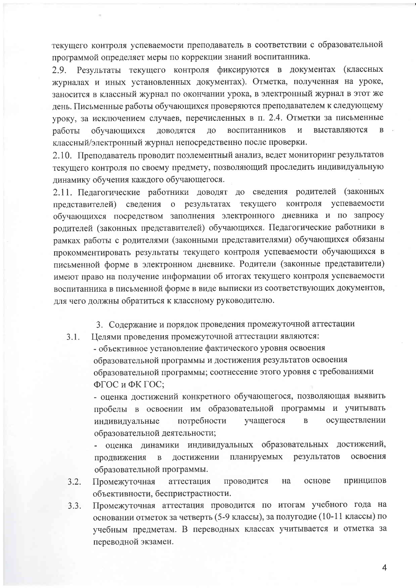текущего контроля успеваемости преподаватель в соответствии с образовательной программой определяет меры по коррекции знаний воспитанника.

Результаты текущего контроля фиксируются в документах (классных 2.9. журналах и иных установленных документах). Отметка, полученная на уроке, заносится в классный журнал по окончании урока, в электронный журнал в этот же день. Письменные работы обучающихся проверяются преподавателем к следующему уроку, за исключением случаев, перечисленных в п. 2.4. Отметки за письменные  $\overline{M}$ выставляются  $\overline{B}$ работы обучающихся доводятся ДО воспитанников классный/электронный журнал непосредственно после проверки.

2.10. Преподаватель проводит поэлементный анализ, ведет мониторинг результатов текущего контроля по своему предмету, позволяющий проследить индивидуальную динамику обучения каждого обучающегося.

2.11. Педагогические работники доводят до сведения родителей (законных о результатах текущего контроля успеваемости представителей) сведения обучающихся посредством заполнения электронного дневника и по запросу родителей (законных представителей) обучающихся. Педагогические работники в рамках работы с родителями (законными представителями) обучающихся обязаны прокомментировать результаты текущего контроля успеваемости обучающихся в письменной форме в электронном дневнике. Родители (законные представители) имеют право на получение информации об итогах текущего контроля успеваемости воспитанника в письменной форме в виде выписки из соответствующих документов, для чего должны обратиться к классному руководителю.

3. Содержание и порядок проведения промежуточной аттестации

 $3.1.$ Целями проведения промежуточной аттестации являются:

> - объективное установление фактического уровня освоения образовательной программы и достижения результатов освоения образовательной программы; соотнесение этого уровня с требованиями ФГОС и ФК ГОС;

- оценка достижений конкретного обучающегося, позволяющая выявить пробелы в освоении им образовательной программы и учитывать осуществлении потребности учащегося  $\overline{B}$ индивидуальные образовательной деятельности;

- оценка динамики индивидуальных образовательных достижений, результатов освоения лостижении планируемых  $\overline{B}$ продвижения образовательной программы.

- принципов  $3.2.$ на основе Промежуточная аттестация проводится объективности, беспристрастности.
- Промежуточная аттестация проводится по итогам учебного года на  $3.3.$ основании отметок за четверть (5-9 классы), за полугодие (10-11 классы) по учебным предметам. В переводных классах учитывается и отметка за переводной экзамен.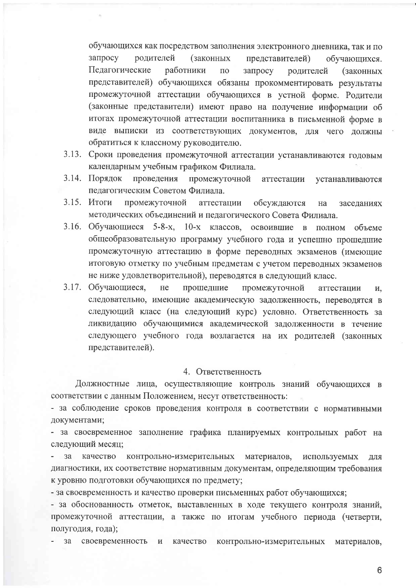обучающихся как посредством заполнения электронного дневника, так и по запросу родителей (законных представителей) обучающихся. Педагогические работники ПО запросу родителей (законных представителей) обучающихся обязаны прокомментировать результаты промежуточной аттестации обучающихся в устной форме. Родители (законные представители) имеют право на получение информации об итогах промежуточной аттестации воспитанника в письменной форме в виде выписки из соответствующих документов, для чего должны обратиться к классному руководителю.

- 3.13. Сроки проведения промежуточной аттестации устанавливаются годовым календарным учебным графиком Филиала.
- 3.14. Порядок проведения промежуточной аттестации устанавливаются педагогическим Советом Филиала.
- 3.15. Итоги промежуточной аттестации обсуждаются на заседаниях методических объединений и педагогического Совета Филиала.
- 3.16. Обучающиеся 5-8-х, 10-х классов, освоившие в полном объеме общеобразовательную программу учебного года и успешно прошедшие промежуточную аттестацию в форме переводных экзаменов (имеющие итоговую отметку по учебным предметам с учетом переводных экзаменов не ниже удовлетворительной), переводятся в следующий класс.
- 3.17. Обучающиеся, прошедшие He промежуточной аттестации И. следовательно, имеющие академическую задолженность, переводятся в следующий класс (на следующий курс) условно. Ответственность за ликвидацию обучающимися академической задолженности в течение следующего учебного года возлагается на их родителей (законных представителей).

## 4. Ответственность

Должностные лица, осуществляющие контроль знаний обучающихся в соответствии с данным Положением, несут ответственность:

- за соблюдение сроков проведения контроля в соответствии с нормативными документами;

- за своевременное заполнение графика планируемых контрольных работ на следующий месяц;

за качество контрольно-измерительных материалов, используемых лля диагностики, их соответствие нормативным документам, определяющим требования к уровню подготовки обучающихся по предмету;

- за своевременность и качество проверки письменных работ обучающихся;

- за обоснованность отметок, выставленных в ходе текущего контроля знаний, промежуточной аттестации, а также по итогам учебного периода (четверти, полугодия, года);

своевременность  $3a$ и качество контрольно-измерительных материалов,

6